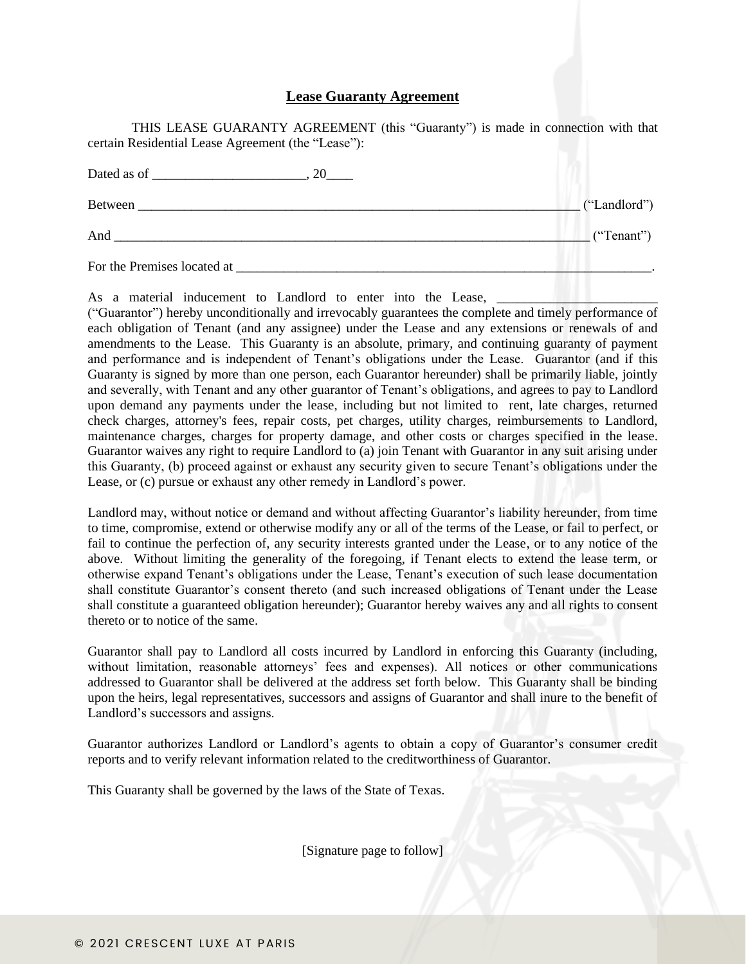## **Lease Guaranty Agreement**

THIS LEASE GUARANTY AGREEMENT (this "Guaranty") is made in connection with that certain Residential Lease Agreement (the "Lease"):

| 20                          |              |
|-----------------------------|--------------|
| Between                     | ("Landlord") |
| And                         | ("Tenant")   |
| For the Premises located at |              |

As a material inducement to Landlord to enter into the Lease,

("Guarantor") hereby unconditionally and irrevocably guarantees the complete and timely performance of each obligation of Tenant (and any assignee) under the Lease and any extensions or renewals of and amendments to the Lease. This Guaranty is an absolute, primary, and continuing guaranty of payment and performance and is independent of Tenant's obligations under the Lease. Guarantor (and if this Guaranty is signed by more than one person, each Guarantor hereunder) shall be primarily liable, jointly and severally, with Tenant and any other guarantor of Tenant's obligations, and agrees to pay to Landlord upon demand any payments under the lease, including but not limited to rent, late charges, returned check charges, attorney's fees, repair costs, pet charges, utility charges, reimbursements to Landlord, maintenance charges, charges for property damage, and other costs or charges specified in the lease. Guarantor waives any right to require Landlord to (a) join Tenant with Guarantor in any suit arising under this Guaranty, (b) proceed against or exhaust any security given to secure Tenant's obligations under the Lease, or (c) pursue or exhaust any other remedy in Landlord's power.

Landlord may, without notice or demand and without affecting Guarantor's liability hereunder, from time to time, compromise, extend or otherwise modify any or all of the terms of the Lease, or fail to perfect, or fail to continue the perfection of, any security interests granted under the Lease, or to any notice of the above. Without limiting the generality of the foregoing, if Tenant elects to extend the lease term, or otherwise expand Tenant's obligations under the Lease, Tenant's execution of such lease documentation shall constitute Guarantor's consent thereto (and such increased obligations of Tenant under the Lease shall constitute a guaranteed obligation hereunder); Guarantor hereby waives any and all rights to consent thereto or to notice of the same.

Guarantor shall pay to Landlord all costs incurred by Landlord in enforcing this Guaranty (including, without limitation, reasonable attorneys' fees and expenses). All notices or other communications addressed to Guarantor shall be delivered at the address set forth below. This Guaranty shall be binding upon the heirs, legal representatives, successors and assigns of Guarantor and shall inure to the benefit of Landlord's successors and assigns.

Guarantor authorizes Landlord or Landlord's agents to obtain a copy of Guarantor's consumer credit reports and to verify relevant information related to the creditworthiness of Guarantor.

This Guaranty shall be governed by the laws of the State of Texas.

[Signature page to follow]